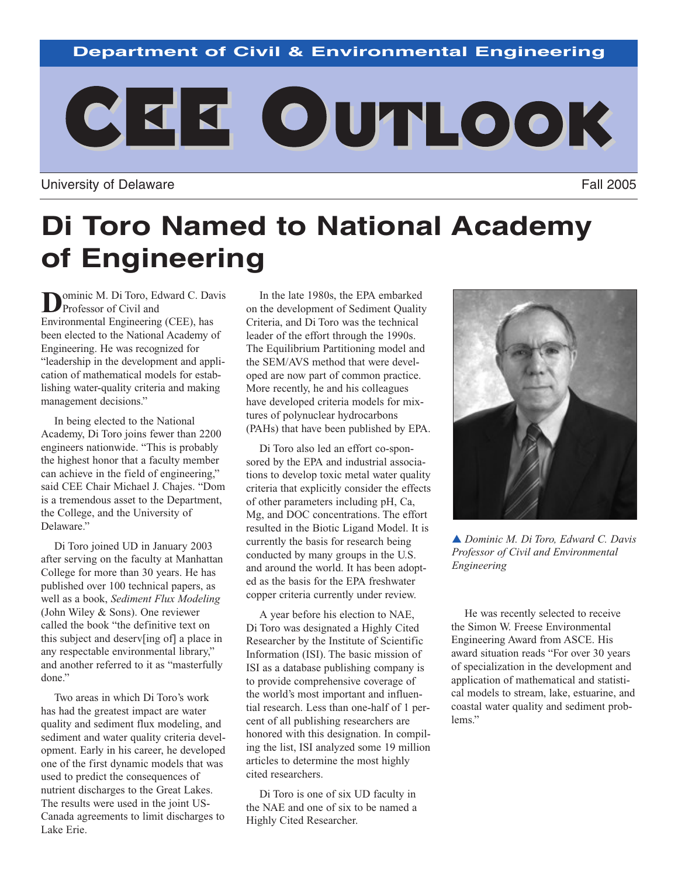### **Department of Civil & Environmental Engineering**



University of Delaware **Fall 2005** 

# **Di Toro Named to National Academy of Engineering**

**D**ominic M. Di Toro, Edward C. Davis<br>Professor of Civil and Environmental Engineering (CEE), has been elected to the National Academy of Engineering. He was recognized for "leadership in the development and application of mathematical models for establishing water-quality criteria and making management decisions."

In being elected to the National Academy, Di Toro joins fewer than 2200 engineers nationwide. "This is probably the highest honor that a faculty member can achieve in the field of engineering," said CEE Chair Michael J. Chajes. "Dom is a tremendous asset to the Department, the College, and the University of Delaware."

Di Toro joined UD in January 2003 after serving on the faculty at Manhattan College for more than 30 years. He has published over 100 technical papers, as well as a book, *Sediment Flux Modeling* (John Wiley & Sons). One reviewer called the book "the definitive text on this subject and deserv[ing of] a place in any respectable environmental library," and another referred to it as "masterfully done."

Two areas in which Di Toro's work has had the greatest impact are water quality and sediment flux modeling, and sediment and water quality criteria development. Early in his career, he developed one of the first dynamic models that was used to predict the consequences of nutrient discharges to the Great Lakes. The results were used in the joint US-Canada agreements to limit discharges to Lake Erie.

In the late 1980s, the EPA embarked on the development of Sediment Quality Criteria, and Di Toro was the technical leader of the effort through the 1990s. The Equilibrium Partitioning model and the SEM/AVS method that were developed are now part of common practice. More recently, he and his colleagues have developed criteria models for mixtures of polynuclear hydrocarbons (PAHs) that have been published by EPA.

Di Toro also led an effort co-sponsored by the EPA and industrial associations to develop toxic metal water quality criteria that explicitly consider the effects of other parameters including pH, Ca, Mg, and DOC concentrations. The effort resulted in the Biotic Ligand Model. It is currently the basis for research being conducted by many groups in the U.S. and around the world. It has been adopted as the basis for the EPA freshwater copper criteria currently under review.

A year before his election to NAE, Di Toro was designated a Highly Cited Researcher by the Institute of Scientific Information (ISI). The basic mission of ISI as a database publishing company is to provide comprehensive coverage of the world's most important and influential research. Less than one-half of 1 percent of all publishing researchers are honored with this designation. In compiling the list, ISI analyzed some 19 million articles to determine the most highly cited researchers.

Di Toro is one of six UD faculty in the NAE and one of six to be named a Highly Cited Researcher.



▲ *Dominic M. Di Toro, Edward C. Davis Professor of Civil and Environmental Engineering*

He was recently selected to receive the Simon W. Freese Environmental Engineering Award from ASCE. His award situation reads "For over 30 years of specialization in the development and application of mathematical and statistical models to stream, lake, estuarine, and coastal water quality and sediment problems."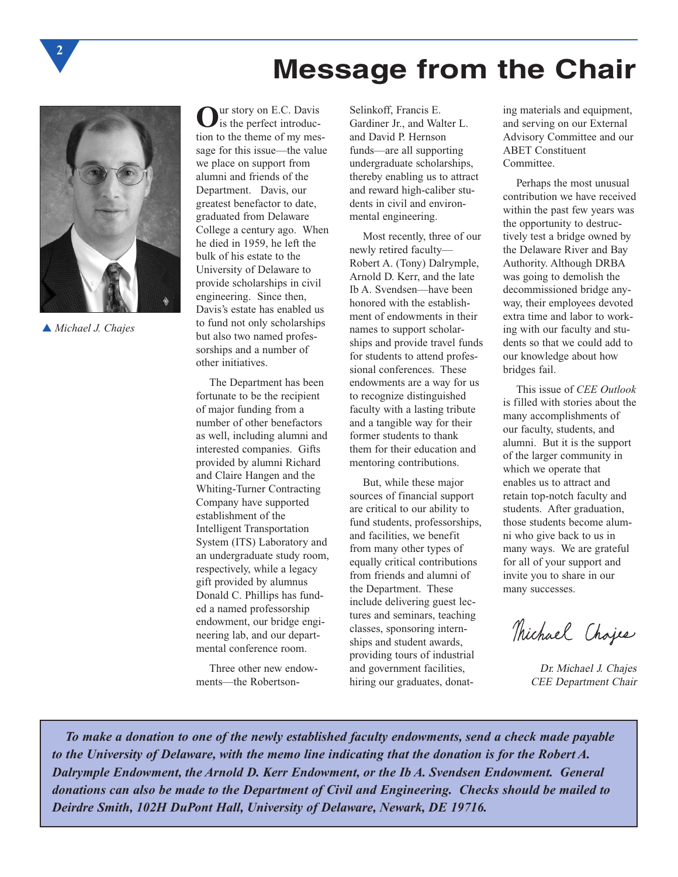



**2**

▲ *Michael J. Chajes*

**O**ur story on E.C. Davis is the perfect introduction to the theme of my message for this issue—the value we place on support from alumni and friends of the Department. Davis, our greatest benefactor to date, graduated from Delaware College a century ago. When he died in 1959, he left the bulk of his estate to the University of Delaware to provide scholarships in civil engineering. Since then, Davis's estate has enabled us to fund not only scholarships but also two named professorships and a number of other initiatives.

The Department has been fortunate to be the recipient of major funding from a number of other benefactors as well, including alumni and interested companies. Gifts provided by alumni Richard and Claire Hangen and the Whiting-Turner Contracting Company have supported establishment of the Intelligent Transportation System (ITS) Laboratory and an undergraduate study room, respectively, while a legacy gift provided by alumnus Donald C. Phillips has funded a named professorship endowment, our bridge engineering lab, and our departmental conference room.

Three other new endowments—the RobertsonSelinkoff, Francis E. Gardiner Jr., and Walter L. and David P. Hernson funds—are all supporting undergraduate scholarships, thereby enabling us to attract and reward high-caliber students in civil and environmental engineering.

Most recently, three of our newly retired faculty— Robert A. (Tony) Dalrymple, Arnold D. Kerr, and the late Ib A. Svendsen—have been honored with the establishment of endowments in their names to support scholarships and provide travel funds for students to attend professional conferences. These endowments are a way for us to recognize distinguished faculty with a lasting tribute and a tangible way for their former students to thank them for their education and mentoring contributions.

But, while these major sources of financial support are critical to our ability to fund students, professorships, and facilities, we benefit from many other types of equally critical contributions from friends and alumni of the Department. These include delivering guest lectures and seminars, teaching classes, sponsoring internships and student awards, providing tours of industrial and government facilities, hiring our graduates, donat-

ing materials and equipment, and serving on our External Advisory Committee and our ABET Constituent Committee.

Perhaps the most unusual contribution we have received within the past few years was the opportunity to destructively test a bridge owned by the Delaware River and Bay Authority. Although DRBA was going to demolish the decommissioned bridge anyway, their employees devoted extra time and labor to working with our faculty and students so that we could add to our knowledge about how bridges fail.

This issue of *CEE Outlook* is filled with stories about the many accomplishments of our faculty, students, and alumni. But it is the support of the larger community in which we operate that enables us to attract and retain top-notch faculty and students. After graduation, those students become alumni who give back to us in many ways. We are grateful for all of your support and invite you to share in our many successes.

Thichael Chajes

Dr. Michael J. Chajes CEE Department Chair

*To make a donation to one of the newly established faculty endowments, send a check made payable to the University of Delaware, with the memo line indicating that the donation is for the Robert A. Dalrymple Endowment, the Arnold D. Kerr Endowment, or the Ib A. Svendsen Endowment. General donations can also be made to the Department of Civil and Engineering. Checks should be mailed to Deirdre Smith, 102H DuPont Hall, University of Delaware, Newark, DE 19716.*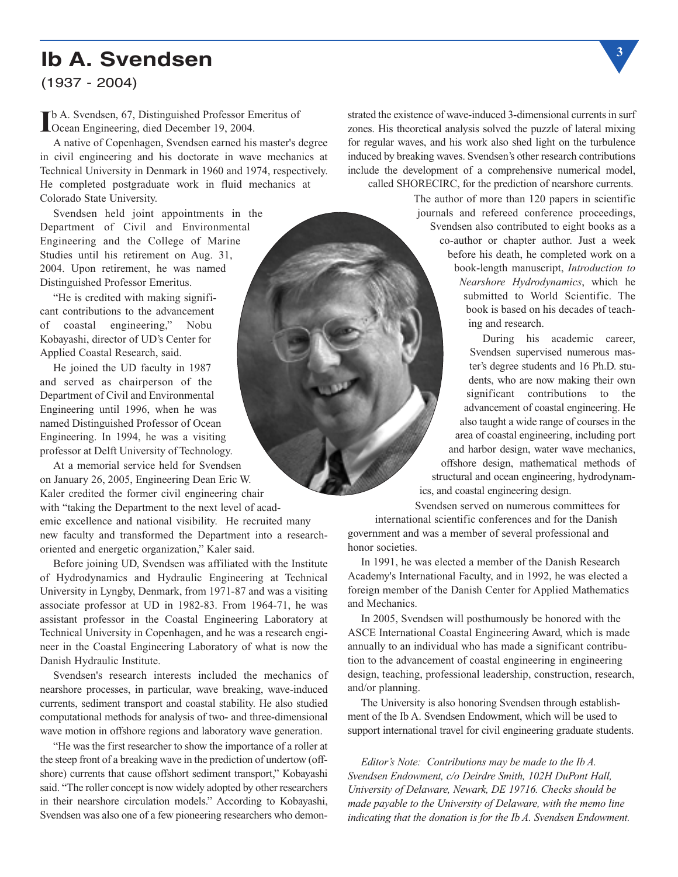# **Ib A. Svendsen**

(1937 - 2004)

**I**b A. Svendsen, 67, Distinguished Professor Emeritus of Ocean Engineering, died December 19, 2004. Ocean Engineering, died December 19, 2004.

A native of Copenhagen, Svendsen earned his master's degree in civil engineering and his doctorate in wave mechanics at Technical University in Denmark in 1960 and 1974, respectively. He completed postgraduate work in fluid mechanics at Colorado State University.

Svendsen held joint appointments in the Department of Civil and Environmental Engineering and the College of Marine Studies until his retirement on Aug. 31, 2004. Upon retirement, he was named Distinguished Professor Emeritus.

"He is credited with making significant contributions to the advancement of coastal engineering," Nobu Kobayashi, director of UD's Center for Applied Coastal Research, said.

He joined the UD faculty in 1987 and served as chairperson of the Department of Civil and Environmental Engineering until 1996, when he was named Distinguished Professor of Ocean Engineering. In 1994, he was a visiting professor at Delft University of Technology.

At a memorial service held for Svendsen on January 26, 2005, Engineering Dean Eric W. Kaler credited the former civil engineering chair with "taking the Department to the next level of academic excellence and national visibility. He recruited many new faculty and transformed the Department into a researchoriented and energetic organization," Kaler said.

Before joining UD, Svendsen was affiliated with the Institute of Hydrodynamics and Hydraulic Engineering at Technical University in Lyngby, Denmark, from 1971-87 and was a visiting associate professor at UD in 1982-83. From 1964-71, he was assistant professor in the Coastal Engineering Laboratory at Technical University in Copenhagen, and he was a research engineer in the Coastal Engineering Laboratory of what is now the Danish Hydraulic Institute.

Svendsen's research interests included the mechanics of nearshore processes, in particular, wave breaking, wave-induced currents, sediment transport and coastal stability. He also studied computational methods for analysis of two- and three-dimensional wave motion in offshore regions and laboratory wave generation.

"He was the first researcher to show the importance of a roller at the steep front of a breaking wave in the prediction of undertow (offshore) currents that cause offshort sediment transport," Kobayashi said. "The roller concept is now widely adopted by other researchers in their nearshore circulation models." According to Kobayashi, Svendsen was also one of a few pioneering researchers who demonstrated the existence of wave-induced 3-dimensional currents in surf zones. His theoretical analysis solved the puzzle of lateral mixing for regular waves, and his work also shed light on the turbulence induced by breaking waves. Svendsen's other research contributions include the development of a comprehensive numerical model, called SHORECIRC, for the prediction of nearshore currents.

> The author of more than 120 papers in scientific journals and refereed conference proceedings, Svendsen also contributed to eight books as a co-author or chapter author. Just a week before his death, he completed work on a book-length manuscript, *Introduction to Nearshore Hydrodynamics*, which he submitted to World Scientific. The book is based on his decades of teaching and research.

During his academic career, Svendsen supervised numerous master's degree students and 16 Ph.D. students, who are now making their own significant contributions to the advancement of coastal engineering. He also taught a wide range of courses in the area of coastal engineering, including port and harbor design, water wave mechanics, offshore design, mathematical methods of structural and ocean engineering, hydrodynamics, and coastal engineering design.

Svendsen served on numerous committees for international scientific conferences and for the Danish

government and was a member of several professional and honor societies.

In 1991, he was elected a member of the Danish Research Academy's International Faculty, and in 1992, he was elected a foreign member of the Danish Center for Applied Mathematics and Mechanics.

In 2005, Svendsen will posthumously be honored with the ASCE International Coastal Engineering Award, which is made annually to an individual who has made a significant contribution to the advancement of coastal engineering in engineering design, teaching, professional leadership, construction, research, and/or planning.

The University is also honoring Svendsen through establishment of the Ib A. Svendsen Endowment, which will be used to support international travel for civil engineering graduate students.

*Editor's Note: Contributions may be made to the Ib A. Svendsen Endowment, c/o Deirdre Smith, 102H DuPont Hall, University of Delaware, Newark, DE 19716. Checks should be made payable to the University of Delaware, with the memo line indicating that the donation is for the Ib A. Svendsen Endowment.* 

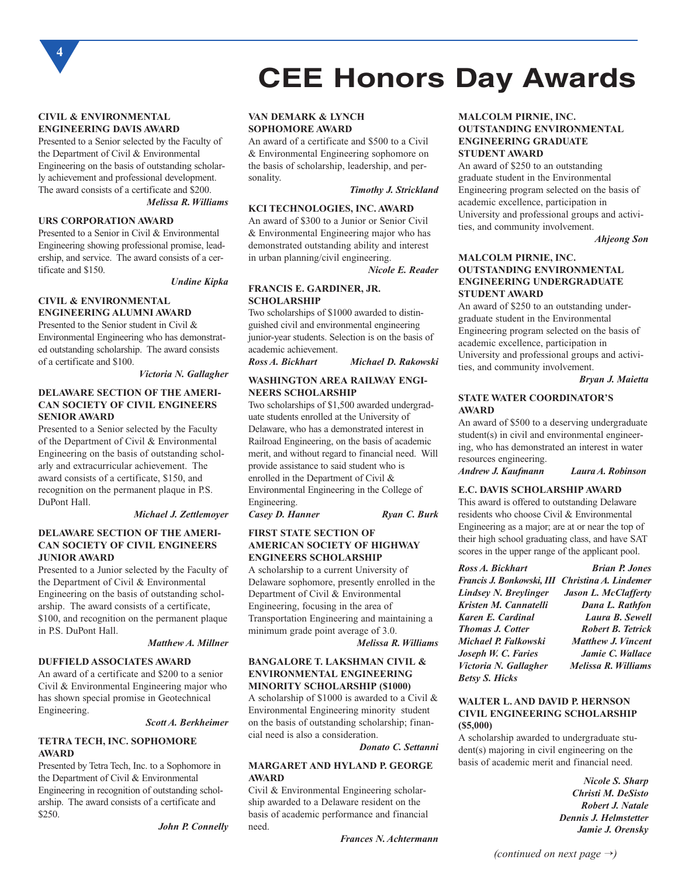

#### **CIVIL & ENVIRONMENTAL ENGINEERING DAVIS AWARD**

Presented to a Senior selected by the Faculty of the Department of Civil & Environmental Engineering on the basis of outstanding scholarly achievement and professional development. The award consists of a certificate and \$200. *Melissa R. Williams*

#### **URS CORPORATION AWARD**

Presented to a Senior in Civil & Environmental Engineering showing professional promise, leadership, and service. The award consists of a certificate and \$150.

*Undine Kipka*

#### **CIVIL & ENVIRONMENTAL ENGINEERING ALUMNI AWARD**

Presented to the Senior student in Civil & Environmental Engineering who has demonstrated outstanding scholarship. The award consists of a certificate and \$100.

#### *Victoria N. Gallagher*

#### **DELAWARE SECTION OF THE AMERI-CAN SOCIETY OF CIVIL ENGINEERS SENIOR AWARD**

Presented to a Senior selected by the Faculty of the Department of Civil & Environmental Engineering on the basis of outstanding scholarly and extracurricular achievement. The award consists of a certificate, \$150, and recognition on the permanent plaque in P.S. DuPont Hall.

#### *Michael J. Zettlemoyer*

#### **DELAWARE SECTION OF THE AMERI-CAN SOCIETY OF CIVIL ENGINEERS JUNIOR AWARD**

Presented to a Junior selected by the Faculty of the Department of Civil & Environmental Engineering on the basis of outstanding scholarship. The award consists of a certificate, \$100, and recognition on the permanent plaque in P.S. DuPont Hall.

#### *Matthew A. Millner*

#### **DUFFIELD ASSOCIATES AWARD**

An award of a certificate and \$200 to a senior Civil & Environmental Engineering major who has shown special promise in Geotechnical Engineering.

#### *Scott A. Berkheimer*

#### **TETRA TECH, INC. SOPHOMORE AWARD**

Presented by Tetra Tech, Inc. to a Sophomore in the Department of Civil & Environmental Engineering in recognition of outstanding scholarship. The award consists of a certificate and \$250.

*John P. Connelly*

#### **VAN DEMARK & LYNCH SOPHOMORE AWARD**

An award of a certificate and \$500 to a Civil & Environmental Engineering sophomore on the basis of scholarship, leadership, and personality.

#### *Timothy J. Strickland*

**CEE Honors Day Awards**

#### **KCI TECHNOLOGIES, INC. AWARD**

An award of \$300 to a Junior or Senior Civil & Environmental Engineering major who has demonstrated outstanding ability and interest in urban planning/civil engineering.

*Nicole E. Reader*

#### **FRANCIS E. GARDINER, JR. SCHOLARSHIP**

Two scholarships of \$1000 awarded to distinguished civil and environmental engineering junior-year students. Selection is on the basis of academic achievement.<br>Ross A. Bickhart

*Ross A. Bickhart Michael D. Rakowski*

#### **WASHINGTON AREA RAILWAY ENGI-NEERS SCHOLARSHIP**

Two scholarships of \$1,500 awarded undergraduate students enrolled at the University of Delaware, who has a demonstrated interest in Railroad Engineering, on the basis of academic merit, and without regard to financial need. Will provide assistance to said student who is enrolled in the Department of Civil & Environmental Engineering in the College of Engineering.

*Casey D. Hanner Ryan C. Burk*

#### **FIRST STATE SECTION OF AMERICAN SOCIETY OF HIGHWAY ENGINEERS SCHOLARSHIP**

A scholarship to a current University of Delaware sophomore, presently enrolled in the Department of Civil & Environmental Engineering, focusing in the area of Transportation Engineering and maintaining a minimum grade point average of 3.0.

*Melissa R. Williams*

#### **BANGALORE T. LAKSHMAN CIVIL & ENVIRONMENTAL ENGINEERING MINORITY SCHOLARSHIP (\$1000)**

A scholarship of \$1000 is awarded to a Civil & Environmental Engineering minority student on the basis of outstanding scholarship; financial need is also a consideration.

*Donato C. Settanni*

#### **MARGARET AND HYLAND P. GEORGE AWARD**

Civil & Environmental Engineering scholarship awarded to a Delaware resident on the basis of academic performance and financial need.

*Frances N. Achtermann*

#### **MALCOLM PIRNIE, INC. OUTSTANDING ENVIRONMENTAL ENGINEERING GRADUATE STUDENT AWARD**

An award of \$250 to an outstanding graduate student in the Environmental Engineering program selected on the basis of academic excellence, participation in University and professional groups and activities, and community involvement.

*Ahjeong Son*

#### **MALCOLM PIRNIE, INC. OUTSTANDING ENVIRONMENTAL ENGINEERING UNDERGRADUATE STUDENT AWARD**

An award of \$250 to an outstanding undergraduate student in the Environmental Engineering program selected on the basis of academic excellence, participation in University and professional groups and activities, and community involvement.

*Bryan J. Maietta*

#### **STATE WATER COORDINATOR'S AWARD**

An award of \$500 to a deserving undergraduate student(s) in civil and environmental engineering, who has demonstrated an interest in water resources engineering.

*Andrew J. Kaufmann Laura A. Robinson*

#### **E.C. DAVIS SCHOLARSHIP AWARD**

This award is offered to outstanding Delaware residents who choose Civil & Environmental Engineering as a major; are at or near the top of their high school graduating class, and have SAT scores in the upper range of the applicant pool.

| Ross A. Bickhart                                | <b>Brian P. Jones</b>       |
|-------------------------------------------------|-----------------------------|
| Francis J. Bonkowski, III Christina A. Lindemer |                             |
| Lindsey N. Breylinger                           | <b>Jason L. McClafferty</b> |
| Kristen M. Cannatelli                           | Dana L. Rathfon             |
| Karen E. Cardinal                               | Laura B. Sewell             |
| <b>Thomas J. Cotter</b>                         | <b>Robert B. Tetrick</b>    |
| Michael P. Falkowski                            | <b>Matthew J. Vincent</b>   |
| Joseph W. C. Faries                             | Jamie C. Wallace            |
| Victoria N. Gallagher                           | Melissa R. Williams         |
| <b>Betsy S. Hicks</b>                           |                             |

#### **WALTER L. AND DAVID P. HERNSON CIVIL ENGINEERING SCHOLARSHIP (\$5,000)**

A scholarship awarded to undergraduate student(s) majoring in civil engineering on the basis of academic merit and financial need.

> *Nicole S. Sharp Christi M. DeSisto Robert J. Natale Dennis J. Helmstetter Jamie J. Orensky*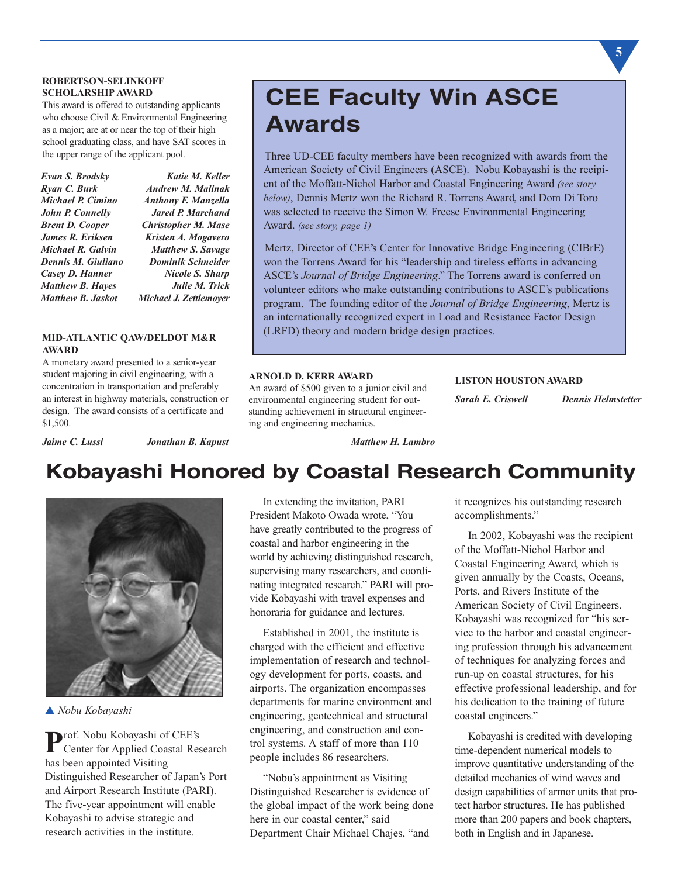#### **ROBERTSON-SELINKOFF SCHOLARSHIP AWARD**

This award is offered to outstanding applicants who choose Civil & Environmental Engineering as a major; are at or near the top of their high school graduating class, and have SAT scores in the upper range of the applicant pool.

| Evan S. Brodsky          | Katie M. Keller               |
|--------------------------|-------------------------------|
| Ryan C. Burk             | <b>Andrew M. Malinak</b>      |
| Michael P. Cimino        | <b>Anthony F. Manzella</b>    |
| John P. Connelly         | <b>Jared P. Marchand</b>      |
| <b>Brent D. Cooper</b>   | <b>Christopher M. Mase</b>    |
| James R. Eriksen         | Kristen A. Mogavero           |
| Michael R. Galvin        | <b>Matthew S. Savage</b>      |
| Dennis M. Giuliano       | <b>Dominik Schneider</b>      |
| Casey D. Hanner          | <b>Nicole S. Sharp</b>        |
| <b>Matthew B. Hayes</b>  | Julie M. Trick                |
| <b>Matthew B. Jaskot</b> | <b>Michael J. Zettlemover</b> |
|                          |                               |

#### **MID-ATLANTIC QAW/DELDOT M&R AWARD**

A monetary award presented to a senior-year student majoring in civil engineering, with a concentration in transportation and preferably an interest in highway materials, construction or design. The award consists of a certificate and \$1,500.

# **CEE Faculty Win ASCE Awards**

Three UD-CEE faculty members have been recognized with awards from the American Society of Civil Engineers (ASCE). Nobu Kobayashi is the recipient of the Moffatt-Nichol Harbor and Coastal Engineering Award *(see story below)*, Dennis Mertz won the Richard R. Torrens Award, and Dom Di Toro was selected to receive the Simon W. Freese Environmental Engineering Award. *(see story, page 1)*

Mertz, Director of CEE's Center for Innovative Bridge Engineering (CIBrE) won the Torrens Award for his "leadership and tireless efforts in advancing ASCE's *Journal of Bridge Engineering*." The Torrens award is conferred on volunteer editors who make outstanding contributions to ASCE's publications program. The founding editor of the *Journal of Bridge Engineering*, Mertz is an internationally recognized expert in Load and Resistance Factor Design (LRFD) theory and modern bridge design practices.

#### **ARNOLD D. KERR AWARD**

An award of \$500 given to a junior civil and environmental engineering student for outstanding achievement in structural engineering and engineering mechanics.

#### **LISTON HOUSTON AWARD**

*Sarah E. Criswell Dennis Helmstetter*

*Jaime C. Lussi Jonathan B. Kapust*

# **Kobayashi Honored by Coastal Research Community**

*Matthew H. Lambro*



▲ *Nobu Kobayashi*

**P**rof. Nobu Kobayashi of CEE's Center for Applied Coastal Research has been appointed Visiting Distinguished Researcher of Japan's Port and Airport Research Institute (PARI). The five-year appointment will enable Kobayashi to advise strategic and research activities in the institute.

In extending the invitation, PARI President Makoto Owada wrote, "You have greatly contributed to the progress of coastal and harbor engineering in the world by achieving distinguished research, supervising many researchers, and coordinating integrated research." PARI will provide Kobayashi with travel expenses and honoraria for guidance and lectures.

Established in 2001, the institute is charged with the efficient and effective implementation of research and technology development for ports, coasts, and airports. The organization encompasses departments for marine environment and engineering, geotechnical and structural engineering, and construction and control systems. A staff of more than 110 people includes 86 researchers.

"Nobu's appointment as Visiting Distinguished Researcher is evidence of the global impact of the work being done here in our coastal center," said Department Chair Michael Chajes, "and

it recognizes his outstanding research accomplishments."

In 2002, Kobayashi was the recipient of the Moffatt-Nichol Harbor and Coastal Engineering Award, which is given annually by the Coasts, Oceans, Ports, and Rivers Institute of the American Society of Civil Engineers. Kobayashi was recognized for "his service to the harbor and coastal engineering profession through his advancement of techniques for analyzing forces and run-up on coastal structures, for his effective professional leadership, and for his dedication to the training of future coastal engineers."

Kobayashi is credited with developing time-dependent numerical models to improve quantitative understanding of the detailed mechanics of wind waves and design capabilities of armor units that protect harbor structures. He has published more than 200 papers and book chapters, both in English and in Japanese.

**5**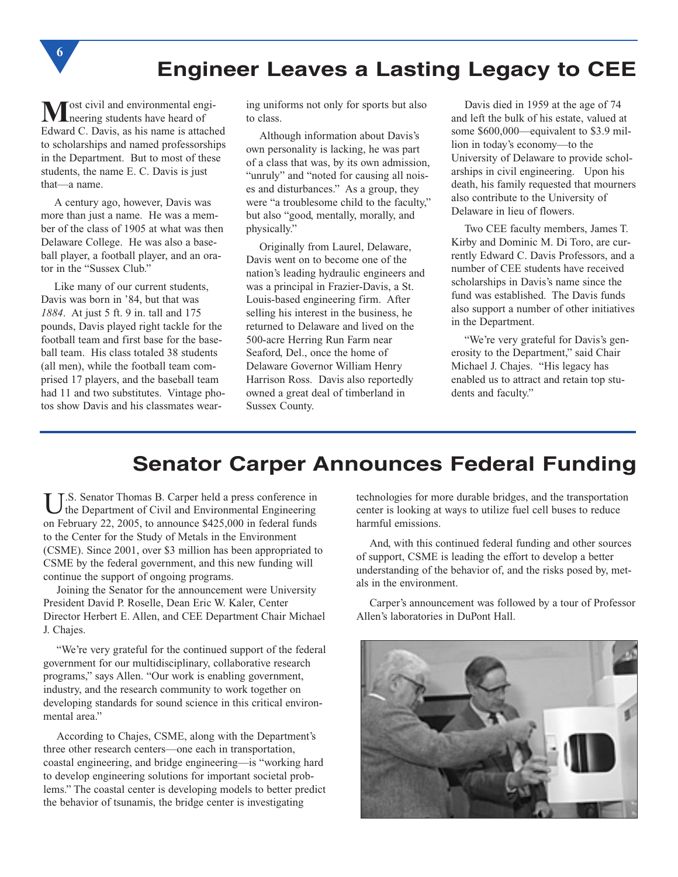

**M**ost civil and environmental engi-<br>neering students have heard of Edward C. Davis, as his name is attached to scholarships and named professorships in the Department. But to most of these students, the name E. C. Davis is just that—a name.

**6**

A century ago, however, Davis was more than just a name. He was a member of the class of 1905 at what was then Delaware College. He was also a baseball player, a football player, and an orator in the "Sussex Club."

Like many of our current students, Davis was born in '84, but that was *1884*. At just 5 ft. 9 in. tall and 175 pounds, Davis played right tackle for the football team and first base for the baseball team. His class totaled 38 students (all men), while the football team comprised 17 players, and the baseball team had 11 and two substitutes. Vintage photos show Davis and his classmates wearing uniforms not only for sports but also to class.

Although information about Davis's own personality is lacking, he was part of a class that was, by its own admission, "unruly" and "noted for causing all noises and disturbances." As a group, they were "a troublesome child to the faculty," but also "good, mentally, morally, and physically."

Originally from Laurel, Delaware, Davis went on to become one of the nation's leading hydraulic engineers and was a principal in Frazier-Davis, a St. Louis-based engineering firm. After selling his interest in the business, he returned to Delaware and lived on the 500-acre Herring Run Farm near Seaford, Del., once the home of Delaware Governor William Henry Harrison Ross. Davis also reportedly owned a great deal of timberland in Sussex County.

Davis died in 1959 at the age of 74 and left the bulk of his estate, valued at some \$600,000—equivalent to \$3.9 million in today's economy—to the University of Delaware to provide scholarships in civil engineering. Upon his death, his family requested that mourners also contribute to the University of Delaware in lieu of flowers.

Two CEE faculty members, James T. Kirby and Dominic M. Di Toro, are currently Edward C. Davis Professors, and a number of CEE students have received scholarships in Davis's name since the fund was established. The Davis funds also support a number of other initiatives in the Department.

"We're very grateful for Davis's generosity to the Department," said Chair Michael J. Chajes. "His legacy has enabled us to attract and retain top students and faculty."

## **Senator Carper Announces Federal Funding**

U.S. Senator Thomas B. Carper held a press conference in<br>the Department of Civil and Environmental Engineering on February 22, 2005, to announce \$425,000 in federal funds to the Center for the Study of Metals in the Environment (CSME). Since 2001, over \$3 million has been appropriated to CSME by the federal government, and this new funding will continue the support of ongoing programs.

Joining the Senator for the announcement were University President David P. Roselle, Dean Eric W. Kaler, Center Director Herbert E. Allen, and CEE Department Chair Michael J. Chajes.

"We're very grateful for the continued support of the federal government for our multidisciplinary, collaborative research programs," says Allen. "Our work is enabling government, industry, and the research community to work together on developing standards for sound science in this critical environmental area."

According to Chajes, CSME, along with the Department's three other research centers—one each in transportation, coastal engineering, and bridge engineering—is "working hard to develop engineering solutions for important societal problems." The coastal center is developing models to better predict the behavior of tsunamis, the bridge center is investigating

technologies for more durable bridges, and the transportation center is looking at ways to utilize fuel cell buses to reduce harmful emissions.

And, with this continued federal funding and other sources of support, CSME is leading the effort to develop a better understanding of the behavior of, and the risks posed by, metals in the environment.

Carper's announcement was followed by a tour of Professor Allen's laboratories in DuPont Hall.

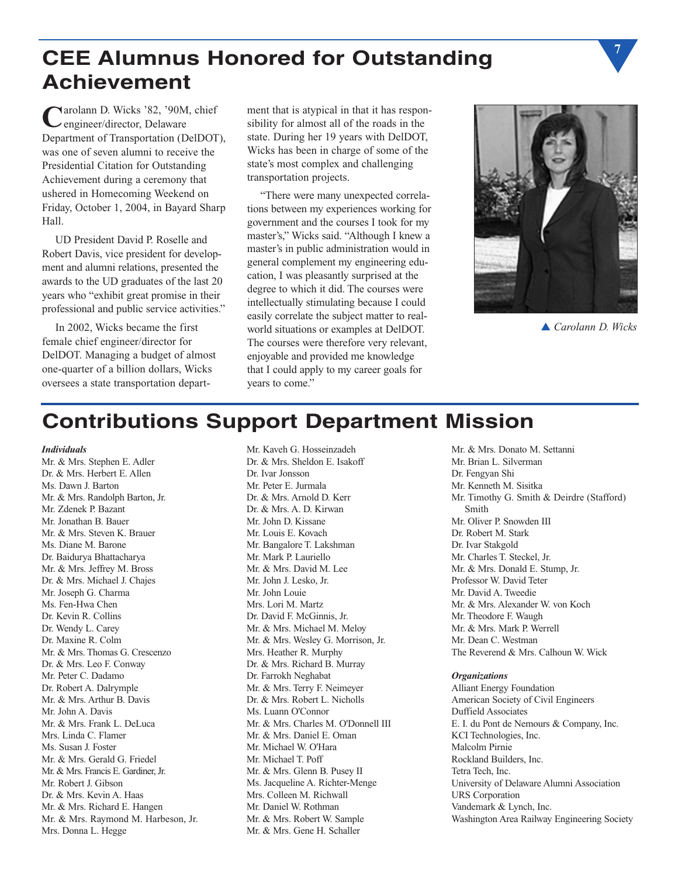# **CEE Alumnus Honored for Outstanding Achievement**

**C**arolann D. Wicks '82, '90M, chief engineer/director, Delaware Department of Transportation (DelDOT), was one of seven alumni to receive the Presidential Citation for Outstanding Achievement during a ceremony that ushered in Homecoming Weekend on Friday, October 1, 2004, in Bayard Sharp Hall.

UD President David P. Roselle and Robert Davis, vice president for development and alumni relations, presented the awards to the UD graduates of the last 20 years who "exhibit great promise in their professional and public service activities."

In 2002, Wicks became the first female chief engineer/director for DelDOT. Managing a budget of almost one-quarter of a billion dollars, Wicks oversees a state transportation department that is atypical in that it has responsibility for almost all of the roads in the state. During her 19 years with DelDOT, Wicks has been in charge of some of the state's most complex and challenging transportation projects.

"There were many unexpected correlations between my experiences working for government and the courses I took for my master's," Wicks said. "Although I knew a master's in public administration would in general complement my engineering education, I was pleasantly surprised at the degree to which it did. The courses were intellectually stimulating because I could easily correlate the subject matter to realworld situations or examples at DelDOT. The courses were therefore very relevant, enjoyable and provided me knowledge that I could apply to my career goals for years to come."



▲ *Carolann D. Wicks*

**7**

# **Contributions Support Department Mission**

#### *Individuals*

Mr. & Mrs. Stephen E. Adler Dr. & Mrs. Herbert E. Allen Ms. Dawn J. Barton Mr. & Mrs. Randolph Barton, Jr. Mr. Zdenek P. Bazant Mr. Jonathan B. Bauer Mr. & Mrs. Steven K. Brauer Ms. Diane M. Barone Dr. Baidurya Bhattacharya Mr. & Mrs. Jeffrey M. Bross Dr. & Mrs. Michael J. Chajes Mr. Joseph G. Charma Ms. Fen-Hwa Chen Dr. Kevin R. Collins Dr. Wendy L. Carey Dr. Maxine R. Colm Mr. & Mrs. Thomas G. Crescenzo Dr. & Mrs. Leo F. Conway Mr. Peter C. Dadamo Dr. Robert A. Dalrymple Mr. & Mrs. Arthur B. Davis Mr. John A. Davis Mr. & Mrs. Frank L. DeLuca Mrs. Linda C. Flamer Ms. Susan J. Foster Mr. & Mrs. Gerald G. Friedel Mr. & Mrs. Francis E. Gardiner, Jr. Mr. Robert J. Gibson Dr. & Mrs. Kevin A. Haas Mr. & Mrs. Richard E. Hangen Mr. & Mrs. Raymond M. Harbeson, Jr. Mrs. Donna L. Hegge

Mr. Kaveh G. Hosseinzadeh Dr. & Mrs. Sheldon E. Isakoff Dr. Ivar Jonsson Mr. Peter E. Jurmala Dr. & Mrs. Arnold D. Kerr Dr. & Mrs. A. D. Kirwan Mr. John D. Kissane Mr. Louis E. Kovach Mr. Bangalore T. Lakshman Mr. Mark P. Lauriello Mr. & Mrs. David M. Lee Mr. John J. Lesko, Jr. Mr. John Louie Mrs. Lori M. Martz Dr. David F. McGinnis, Jr. Mr. & Mrs. Michael M. Meloy Mr. & Mrs. Wesley G. Morrison, Jr. Mrs. Heather R. Murphy Dr. & Mrs. Richard B. Murray Dr. Farrokh Neghabat Mr. & Mrs. Terry F. Neimeyer Dr. & Mrs. Robert L. Nicholls Ms. Luann O'Connor Mr. & Mrs. Charles M. O'Donnell III Mr. & Mrs. Daniel E. Oman Mr. Michael W. O'Hara Mr. Michael T. Poff Mr. & Mrs. Glenn B. Pusey II Ms. Jacqueline A. Richter-Menge Mrs. Colleen M. Richwall Mr. Daniel W. Rothman Mr. & Mrs. Robert W. Sample Mr. & Mrs. Gene H. Schaller

Mr. & Mrs. Donato M. Settanni Mr. Brian L. Silverman Dr. Fengyan Shi Mr. Kenneth M. Sisitka Mr. Timothy G. Smith & Deirdre (Stafford) Smith Mr. Oliver P. Snowden III Dr. Robert M. Stark Dr. Ivar Stakgold Mr. Charles T. Steckel, Jr. Mr. & Mrs. Donald E. Stump, Jr. Professor W. David Teter Mr. David A. Tweedie Mr. & Mrs. Alexander W. von Koch Mr. Theodore F. Waugh Mr. & Mrs. Mark P. Werrell Mr. Dean C. Westman The Reverend & Mrs. Calhoun W. Wick

#### *Organizations*

Alliant Energy Foundation American Society of Civil Engineers Duffield Associates E. I. du Pont de Nemours & Company, Inc. KCI Technologies, Inc. Malcolm Pirnie Rockland Builders, Inc. Tetra Tech, Inc. University of Delaware Alumni Association URS Corporation Vandemark & Lynch, Inc. Washington Area Railway Engineering Society